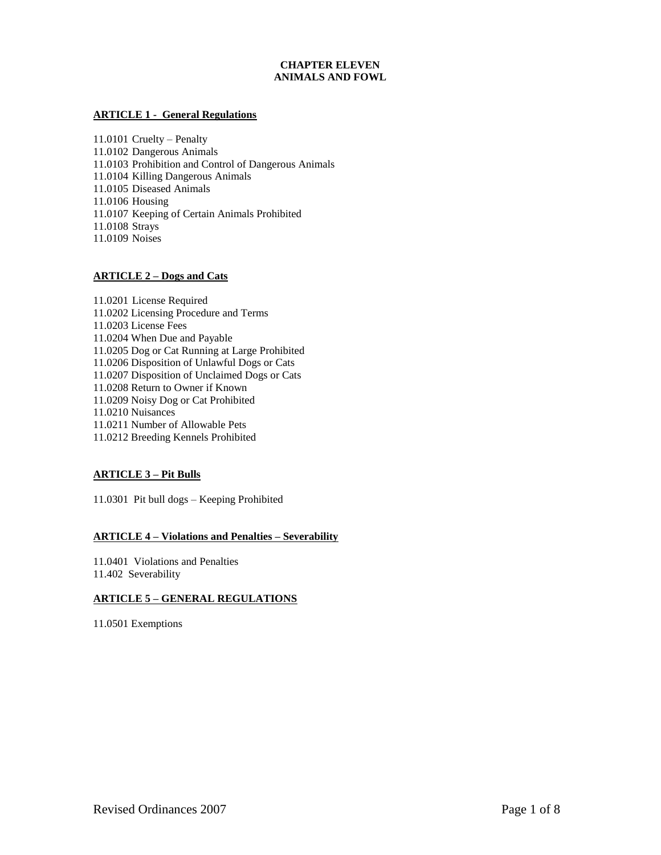# **CHAPTER ELEVEN ANIMALS AND FOWL**

# **ARTICLE 1 - General Regulations**

11.0101 Cruelty – Penalty 11.0102 Dangerous Animals 11.0103 Prohibition and Control of Dangerous Animals 11.0104 Killing Dangerous Animals 11.0105 Diseased Animals 11.0106 Housing 11.0107 Keeping of Certain Animals Prohibited 11.0108 Strays 11.0109 Noises

# **ARTICLE 2 – Dogs and Cats**

11.0201 License Required 11.0202 Licensing Procedure and Terms 11.0203 License Fees 11.0204 When Due and Payable 11.0205 Dog or Cat Running at Large Prohibited 11.0206 Disposition of Unlawful Dogs or Cats 11.0207 Disposition of Unclaimed Dogs or Cats 11.0208 Return to Owner if Known 11.0209 Noisy Dog or Cat Prohibited 11.0210 Nuisances 11.0211 Number of Allowable Pets 11.0212 Breeding Kennels Prohibited

# **ARTICLE 3 – Pit Bulls**

11.0301 Pit bull dogs – Keeping Prohibited

### **ARTICLE 4 – Violations and Penalties – Severability**

11.0401 Violations and Penalties 11.402 Severability

# **ARTICLE 5 – GENERAL REGULATIONS**

11.0501 Exemptions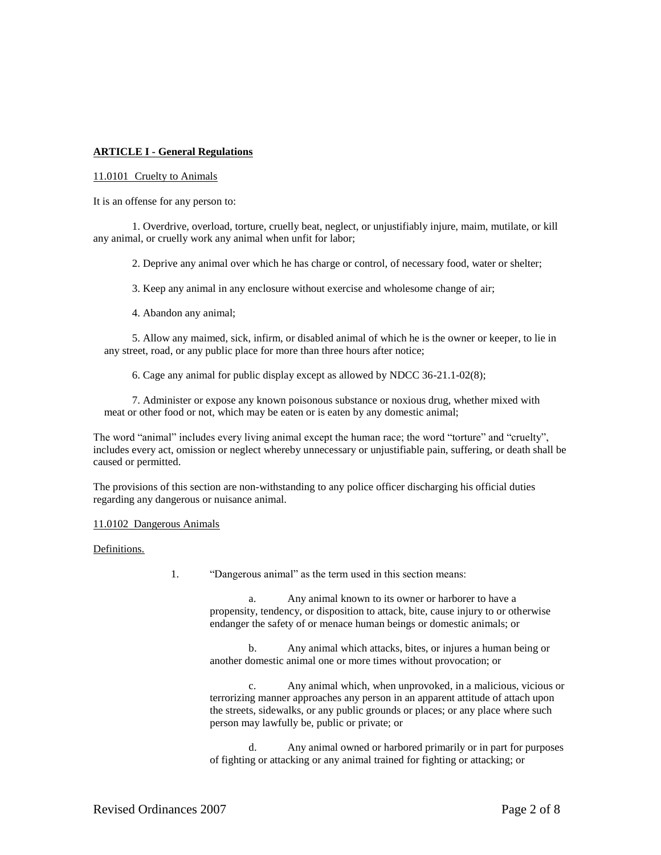# **ARTICLE I - General Regulations**

#### 11.0101 Cruelty to Animals

It is an offense for any person to:

1. Overdrive, overload, torture, cruelly beat, neglect, or unjustifiably injure, maim, mutilate, or kill any animal, or cruelly work any animal when unfit for labor;

2. Deprive any animal over which he has charge or control, of necessary food, water or shelter;

3. Keep any animal in any enclosure without exercise and wholesome change of air;

4. Abandon any animal;

5. Allow any maimed, sick, infirm, or disabled animal of which he is the owner or keeper, to lie in any street, road, or any public place for more than three hours after notice;

6. Cage any animal for public display except as allowed by NDCC 36-21.1-02(8);

7. Administer or expose any known poisonous substance or noxious drug, whether mixed with meat or other food or not, which may be eaten or is eaten by any domestic animal;

The word "animal" includes every living animal except the human race; the word "torture" and "cruelty", includes every act, omission or neglect whereby unnecessary or unjustifiable pain, suffering, or death shall be caused or permitted.

The provisions of this section are non-withstanding to any police officer discharging his official duties regarding any dangerous or nuisance animal.

#### 11.0102 Dangerous Animals

Definitions.

1. "Dangerous animal" as the term used in this section means:

a. Any animal known to its owner or harborer to have a propensity, tendency, or disposition to attack, bite, cause injury to or otherwise endanger the safety of or menace human beings or domestic animals; or

b. Any animal which attacks, bites, or injures a human being or another domestic animal one or more times without provocation; or

c. Any animal which, when unprovoked, in a malicious, vicious or terrorizing manner approaches any person in an apparent attitude of attach upon the streets, sidewalks, or any public grounds or places; or any place where such person may lawfully be, public or private; or

d. Any animal owned or harbored primarily or in part for purposes of fighting or attacking or any animal trained for fighting or attacking; or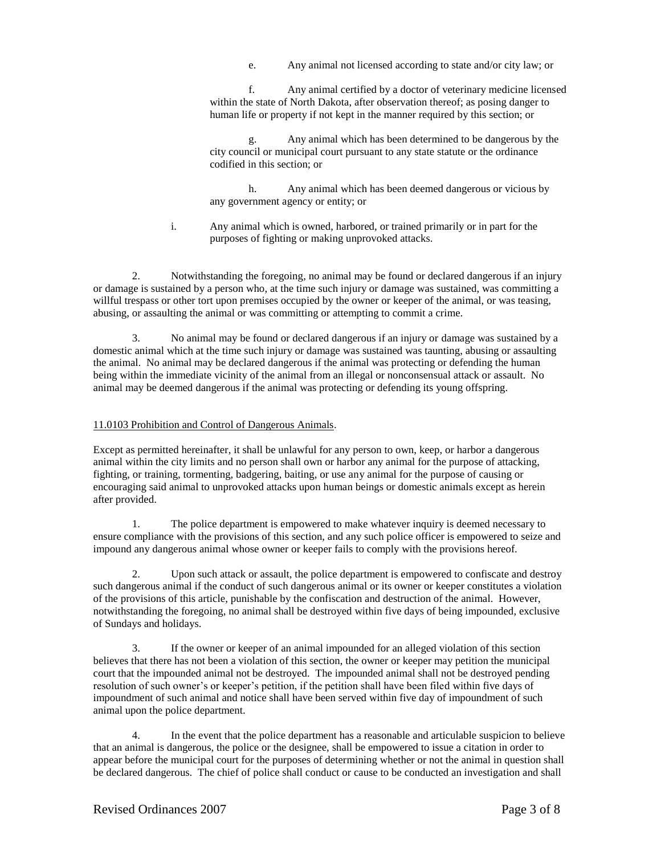e. Any animal not licensed according to state and/or city law; or

f. Any animal certified by a doctor of veterinary medicine licensed within the state of North Dakota, after observation thereof; as posing danger to human life or property if not kept in the manner required by this section; or

g. Any animal which has been determined to be dangerous by the city council or municipal court pursuant to any state statute or the ordinance codified in this section; or

h. Any animal which has been deemed dangerous or vicious by any government agency or entity; or

i. Any animal which is owned, harbored, or trained primarily or in part for the purposes of fighting or making unprovoked attacks.

2. Notwithstanding the foregoing, no animal may be found or declared dangerous if an injury or damage is sustained by a person who, at the time such injury or damage was sustained, was committing a willful trespass or other tort upon premises occupied by the owner or keeper of the animal, or was teasing, abusing, or assaulting the animal or was committing or attempting to commit a crime.

3. No animal may be found or declared dangerous if an injury or damage was sustained by a domestic animal which at the time such injury or damage was sustained was taunting, abusing or assaulting the animal. No animal may be declared dangerous if the animal was protecting or defending the human being within the immediate vicinity of the animal from an illegal or nonconsensual attack or assault. No animal may be deemed dangerous if the animal was protecting or defending its young offspring.

# 11.0103 Prohibition and Control of Dangerous Animals.

Except as permitted hereinafter, it shall be unlawful for any person to own, keep, or harbor a dangerous animal within the city limits and no person shall own or harbor any animal for the purpose of attacking, fighting, or training, tormenting, badgering, baiting, or use any animal for the purpose of causing or encouraging said animal to unprovoked attacks upon human beings or domestic animals except as herein after provided.

1. The police department is empowered to make whatever inquiry is deemed necessary to ensure compliance with the provisions of this section, and any such police officer is empowered to seize and impound any dangerous animal whose owner or keeper fails to comply with the provisions hereof.

2. Upon such attack or assault, the police department is empowered to confiscate and destroy such dangerous animal if the conduct of such dangerous animal or its owner or keeper constitutes a violation of the provisions of this article, punishable by the confiscation and destruction of the animal. However, notwithstanding the foregoing, no animal shall be destroyed within five days of being impounded, exclusive of Sundays and holidays.

3. If the owner or keeper of an animal impounded for an alleged violation of this section believes that there has not been a violation of this section, the owner or keeper may petition the municipal court that the impounded animal not be destroyed. The impounded animal shall not be destroyed pending resolution of such owner's or keeper's petition, if the petition shall have been filed within five days of impoundment of such animal and notice shall have been served within five day of impoundment of such animal upon the police department.

4. In the event that the police department has a reasonable and articulable suspicion to believe that an animal is dangerous, the police or the designee, shall be empowered to issue a citation in order to appear before the municipal court for the purposes of determining whether or not the animal in question shall be declared dangerous. The chief of police shall conduct or cause to be conducted an investigation and shall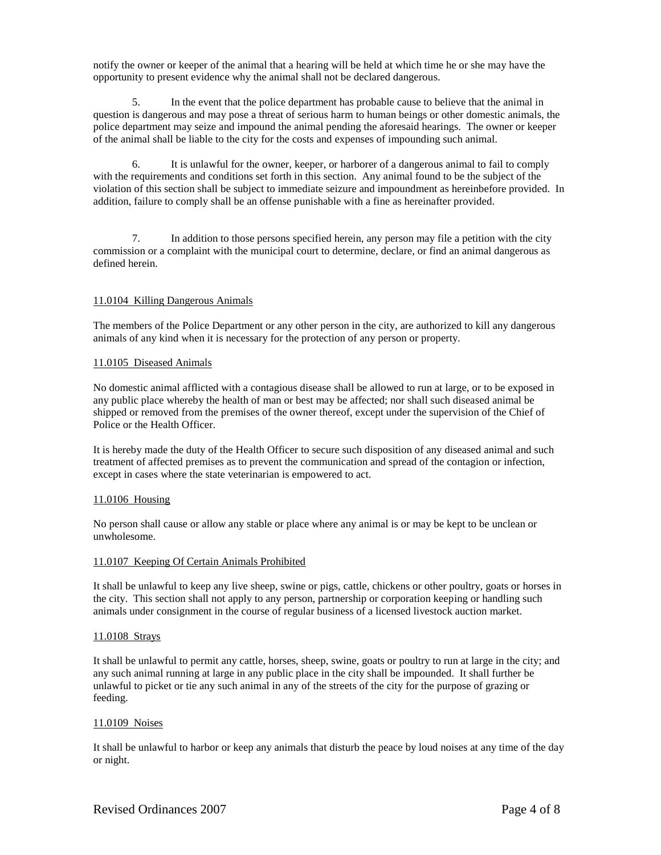notify the owner or keeper of the animal that a hearing will be held at which time he or she may have the opportunity to present evidence why the animal shall not be declared dangerous.

5. In the event that the police department has probable cause to believe that the animal in question is dangerous and may pose a threat of serious harm to human beings or other domestic animals, the police department may seize and impound the animal pending the aforesaid hearings. The owner or keeper of the animal shall be liable to the city for the costs and expenses of impounding such animal.

6. It is unlawful for the owner, keeper, or harborer of a dangerous animal to fail to comply with the requirements and conditions set forth in this section. Any animal found to be the subject of the violation of this section shall be subject to immediate seizure and impoundment as hereinbefore provided. In addition, failure to comply shall be an offense punishable with a fine as hereinafter provided.

7. In addition to those persons specified herein, any person may file a petition with the city commission or a complaint with the municipal court to determine, declare, or find an animal dangerous as defined herein.

# 11.0104 Killing Dangerous Animals

The members of the Police Department or any other person in the city, are authorized to kill any dangerous animals of any kind when it is necessary for the protection of any person or property.

#### 11.0105 Diseased Animals

No domestic animal afflicted with a contagious disease shall be allowed to run at large, or to be exposed in any public place whereby the health of man or best may be affected; nor shall such diseased animal be shipped or removed from the premises of the owner thereof, except under the supervision of the Chief of Police or the Health Officer.

It is hereby made the duty of the Health Officer to secure such disposition of any diseased animal and such treatment of affected premises as to prevent the communication and spread of the contagion or infection, except in cases where the state veterinarian is empowered to act.

#### 11.0106 Housing

No person shall cause or allow any stable or place where any animal is or may be kept to be unclean or unwholesome.

#### 11.0107 Keeping Of Certain Animals Prohibited

It shall be unlawful to keep any live sheep, swine or pigs, cattle, chickens or other poultry, goats or horses in the city. This section shall not apply to any person, partnership or corporation keeping or handling such animals under consignment in the course of regular business of a licensed livestock auction market.

#### 11.0108 Strays

It shall be unlawful to permit any cattle, horses, sheep, swine, goats or poultry to run at large in the city; and any such animal running at large in any public place in the city shall be impounded. It shall further be unlawful to picket or tie any such animal in any of the streets of the city for the purpose of grazing or feeding.

#### 11.0109 Noises

It shall be unlawful to harbor or keep any animals that disturb the peace by loud noises at any time of the day or night.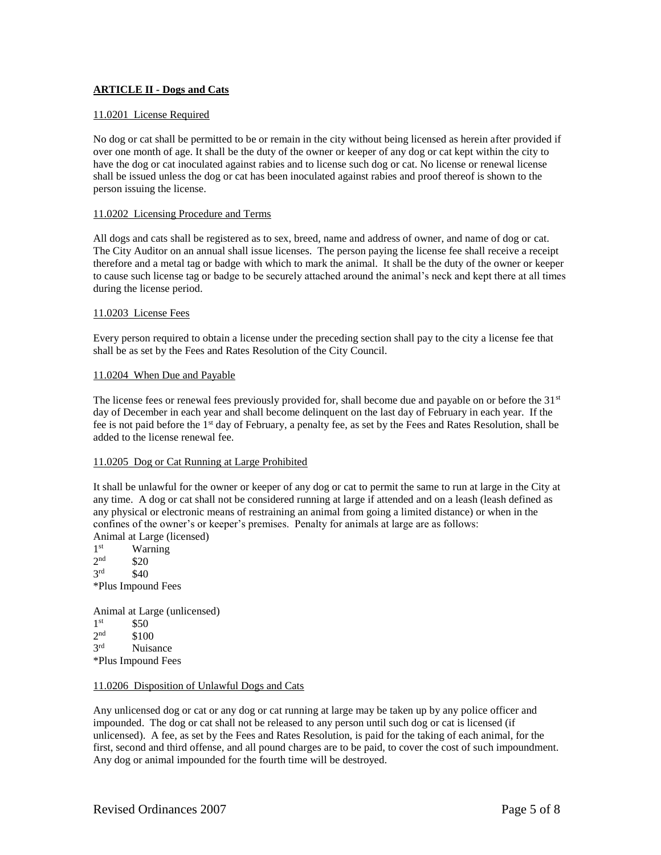# **ARTICLE II - Dogs and Cats**

# 11.0201 License Required

No dog or cat shall be permitted to be or remain in the city without being licensed as herein after provided if over one month of age. It shall be the duty of the owner or keeper of any dog or cat kept within the city to have the dog or cat inoculated against rabies and to license such dog or cat. No license or renewal license shall be issued unless the dog or cat has been inoculated against rabies and proof thereof is shown to the person issuing the license.

### 11.0202 Licensing Procedure and Terms

All dogs and cats shall be registered as to sex, breed, name and address of owner, and name of dog or cat. The City Auditor on an annual shall issue licenses. The person paying the license fee shall receive a receipt therefore and a metal tag or badge with which to mark the animal. It shall be the duty of the owner or keeper to cause such license tag or badge to be securely attached around the animal's neck and kept there at all times during the license period.

#### 11.0203 License Fees

Every person required to obtain a license under the preceding section shall pay to the city a license fee that shall be as set by the Fees and Rates Resolution of the City Council.

# 11.0204 When Due and Payable

The license fees or renewal fees previously provided for, shall become due and payable on or before the 31<sup>st</sup> day of December in each year and shall become delinquent on the last day of February in each year. If the fee is not paid before the 1st day of February, a penalty fee, as set by the Fees and Rates Resolution, shall be added to the license renewal fee.

# 11.0205 Dog or Cat Running at Large Prohibited

It shall be unlawful for the owner or keeper of any dog or cat to permit the same to run at large in the City at any time. A dog or cat shall not be considered running at large if attended and on a leash (leash defined as any physical or electronic means of restraining an animal from going a limited distance) or when in the confines of the owner's or keeper's premises. Penalty for animals at large are as follows: Animal at Large (licensed)

1<sup>st</sup> Warning  $2<sub>nd</sub>$  $$20$  $2rd$  $$40$ \*Plus Impound Fees

Animal at Large (unlicensed) 1<sup>st</sup> \$50  $2<sup>nd</sup>$ \$100 3rd Nuisance \*Plus Impound Fees

#### 11.0206 Disposition of Unlawful Dogs and Cats

Any unlicensed dog or cat or any dog or cat running at large may be taken up by any police officer and impounded. The dog or cat shall not be released to any person until such dog or cat is licensed (if unlicensed). A fee, as set by the Fees and Rates Resolution, is paid for the taking of each animal, for the first, second and third offense, and all pound charges are to be paid, to cover the cost of such impoundment. Any dog or animal impounded for the fourth time will be destroyed.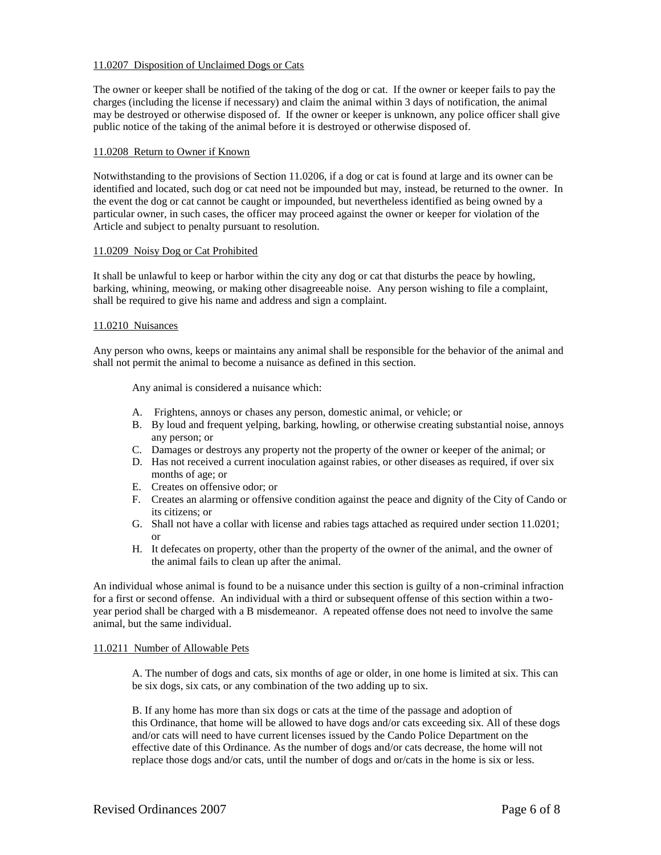# 11.0207 Disposition of Unclaimed Dogs or Cats

The owner or keeper shall be notified of the taking of the dog or cat. If the owner or keeper fails to pay the charges (including the license if necessary) and claim the animal within 3 days of notification, the animal may be destroyed or otherwise disposed of. If the owner or keeper is unknown, any police officer shall give public notice of the taking of the animal before it is destroyed or otherwise disposed of.

# 11.0208 Return to Owner if Known

Notwithstanding to the provisions of Section 11.0206, if a dog or cat is found at large and its owner can be identified and located, such dog or cat need not be impounded but may, instead, be returned to the owner. In the event the dog or cat cannot be caught or impounded, but nevertheless identified as being owned by a particular owner, in such cases, the officer may proceed against the owner or keeper for violation of the Article and subject to penalty pursuant to resolution.

# 11.0209 Noisy Dog or Cat Prohibited

It shall be unlawful to keep or harbor within the city any dog or cat that disturbs the peace by howling, barking, whining, meowing, or making other disagreeable noise. Any person wishing to file a complaint, shall be required to give his name and address and sign a complaint.

# 11.0210 Nuisances

Any person who owns, keeps or maintains any animal shall be responsible for the behavior of the animal and shall not permit the animal to become a nuisance as defined in this section.

Any animal is considered a nuisance which:

- A. Frightens, annoys or chases any person, domestic animal, or vehicle; or
- B. By loud and frequent yelping, barking, howling, or otherwise creating substantial noise, annoys any person; or
- C. Damages or destroys any property not the property of the owner or keeper of the animal; or
- D. Has not received a current inoculation against rabies, or other diseases as required, if over six months of age; or
- E. Creates on offensive odor; or
- F. Creates an alarming or offensive condition against the peace and dignity of the City of Cando or its citizens; or
- G. Shall not have a collar with license and rabies tags attached as required under section 11.0201; or
- H. It defecates on property, other than the property of the owner of the animal, and the owner of the animal fails to clean up after the animal.

An individual whose animal is found to be a nuisance under this section is guilty of a non-criminal infraction for a first or second offense. An individual with a third or subsequent offense of this section within a twoyear period shall be charged with a B misdemeanor. A repeated offense does not need to involve the same animal, but the same individual.

#### 11.0211 Number of Allowable Pets

A. The number of dogs and cats, six months of age or older, in one home is limited at six. This can be six dogs, six cats, or any combination of the two adding up to six.

B. If any home has more than six dogs or cats at the time of the passage and adoption of this Ordinance, that home will be allowed to have dogs and/or cats exceeding six. All of these dogs and/or cats will need to have current licenses issued by the Cando Police Department on the effective date of this Ordinance. As the number of dogs and/or cats decrease, the home will not replace those dogs and/or cats, until the number of dogs and or/cats in the home is six or less.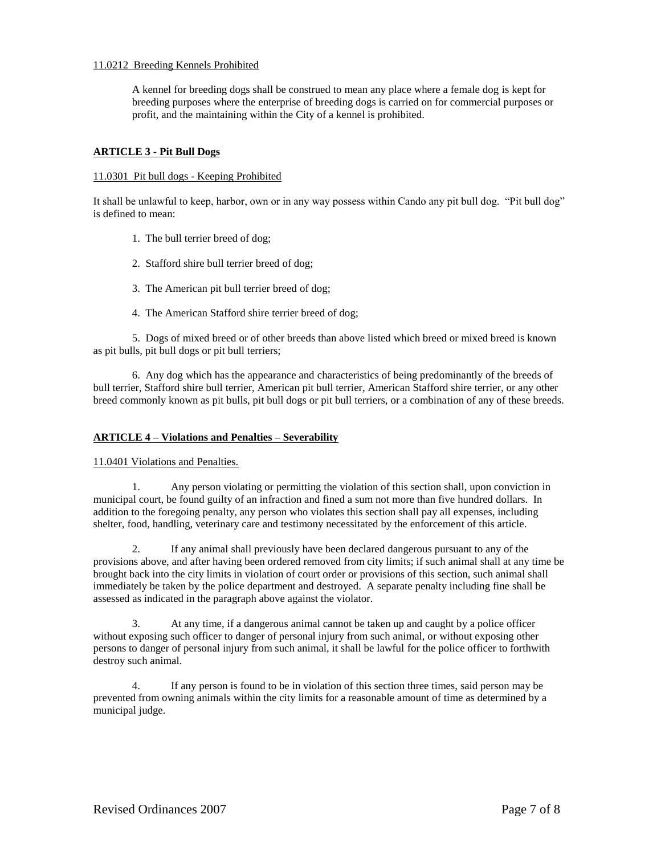# 11.0212 Breeding Kennels Prohibited

A kennel for breeding dogs shall be construed to mean any place where a female dog is kept for breeding purposes where the enterprise of breeding dogs is carried on for commercial purposes or profit, and the maintaining within the City of a kennel is prohibited.

# **ARTICLE 3 - Pit Bull Dogs**

### 11.0301 Pit bull dogs - Keeping Prohibited

It shall be unlawful to keep, harbor, own or in any way possess within Cando any pit bull dog. "Pit bull dog" is defined to mean:

- 1. The bull terrier breed of dog;
- 2. Stafford shire bull terrier breed of dog;
- 3. The American pit bull terrier breed of dog;
- 4. The American Stafford shire terrier breed of dog;

5. Dogs of mixed breed or of other breeds than above listed which breed or mixed breed is known as pit bulls, pit bull dogs or pit bull terriers;

6. Any dog which has the appearance and characteristics of being predominantly of the breeds of bull terrier, Stafford shire bull terrier, American pit bull terrier, American Stafford shire terrier, or any other breed commonly known as pit bulls, pit bull dogs or pit bull terriers, or a combination of any of these breeds.

#### **ARTICLE 4 – Violations and Penalties – Severability**

11.0401 Violations and Penalties.

1. Any person violating or permitting the violation of this section shall, upon conviction in municipal court, be found guilty of an infraction and fined a sum not more than five hundred dollars. In addition to the foregoing penalty, any person who violates this section shall pay all expenses, including shelter, food, handling, veterinary care and testimony necessitated by the enforcement of this article.

2. If any animal shall previously have been declared dangerous pursuant to any of the provisions above, and after having been ordered removed from city limits; if such animal shall at any time be brought back into the city limits in violation of court order or provisions of this section, such animal shall immediately be taken by the police department and destroyed. A separate penalty including fine shall be assessed as indicated in the paragraph above against the violator.

3. At any time, if a dangerous animal cannot be taken up and caught by a police officer without exposing such officer to danger of personal injury from such animal, or without exposing other persons to danger of personal injury from such animal, it shall be lawful for the police officer to forthwith destroy such animal.

4. If any person is found to be in violation of this section three times, said person may be prevented from owning animals within the city limits for a reasonable amount of time as determined by a municipal judge.